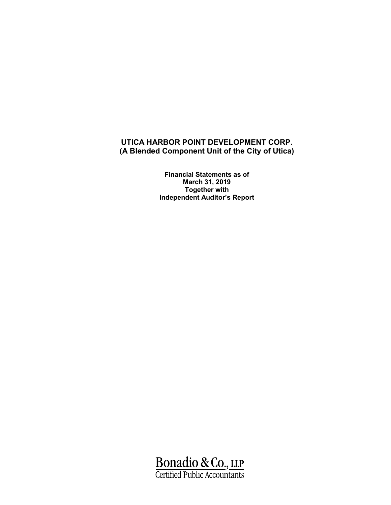## **UTICA HARBOR POINT DEVELOPMENT CORP. (A Blended Component Unit of the City of Utica)**

**Financial Statements as of March 31, 2019 Together with Independent Auditor's Report**

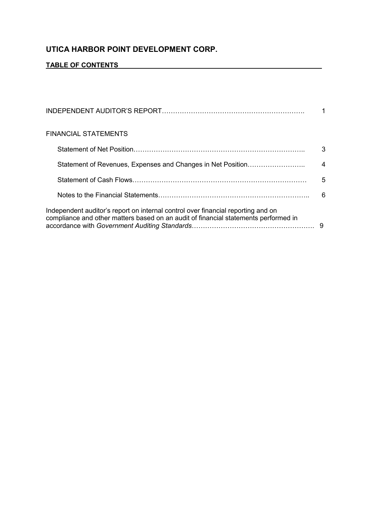## **TABLE OF CONTENTS**

| <b>FINANCIAL STATEMENTS</b>                                                                                                                                             |   |
|-------------------------------------------------------------------------------------------------------------------------------------------------------------------------|---|
|                                                                                                                                                                         | 3 |
| Statement of Revenues, Expenses and Changes in Net Position                                                                                                             | 4 |
|                                                                                                                                                                         | 5 |
|                                                                                                                                                                         | 6 |
| Independent auditor's report on internal control over financial reporting and on<br>compliance and other matters based on an audit of financial statements performed in |   |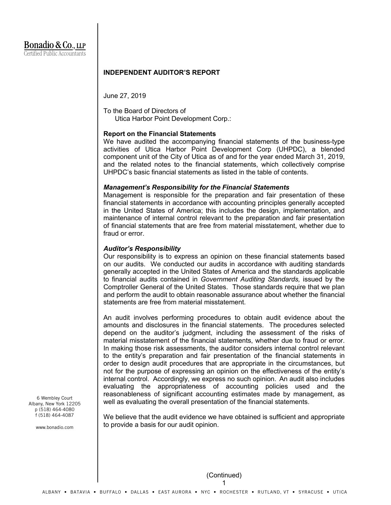## **INDEPENDENT AUDITOR'S REPORT**

June 27, 2019

To the Board of Directors of Utica Harbor Point Development Corp.:

#### **Report on the Financial Statements**

We have audited the accompanying financial statements of the business-type activities of Utica Harbor Point Development Corp (UHPDC), a blended component unit of the City of Utica as of and for the year ended March 31, 2019, and the related notes to the financial statements, which collectively comprise UHPDC's basic financial statements as listed in the table of contents.

#### *Management's Responsibility for the Financial Statements*

Management is responsible for the preparation and fair presentation of these financial statements in accordance with accounting principles generally accepted in the United States of America; this includes the design, implementation, and maintenance of internal control relevant to the preparation and fair presentation of financial statements that are free from material misstatement, whether due to fraud or error.

## *Auditor's Responsibility*

Our responsibility is to express an opinion on these financial statements based on our audits. We conducted our audits in accordance with auditing standards generally accepted in the United States of America and the standards applicable to financial audits contained in *Government Auditing Standards,* issued by the Comptroller General of the United States. Those standards require that we plan and perform the audit to obtain reasonable assurance about whether the financial statements are free from material misstatement.

An audit involves performing procedures to obtain audit evidence about the amounts and disclosures in the financial statements. The procedures selected depend on the auditor's judgment, including the assessment of the risks of material misstatement of the financial statements, whether due to fraud or error. In making those risk assessments, the auditor considers internal control relevant to the entity's preparation and fair presentation of the financial statements in order to design audit procedures that are appropriate in the circumstances, but not for the purpose of expressing an opinion on the effectiveness of the entity's internal control. Accordingly, we express no such opinion. An audit also includes evaluating the appropriateness of accounting policies used and the reasonableness of significant accounting estimates made by management, as well as evaluating the overall presentation of the financial statements.

We believe that the audit evidence we have obtained is sufficient and appropriate to provide a basis for our audit opinion.

6 Wembley Court Albany, New York 12205 p (518) 464-4080 f (518) 464-4087

www.bonadio.com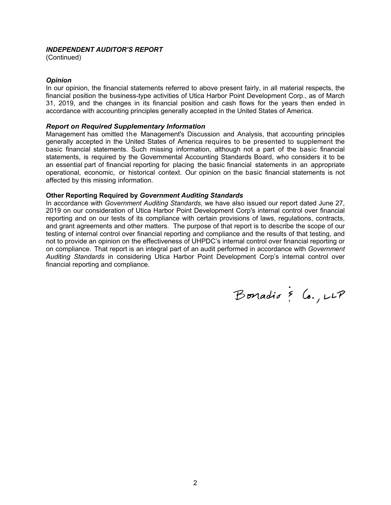## *INDEPENDENT AUDITOR'S REPORT*

(Continued)

#### *Opinion*

In our opinion, the financial statements referred to above present fairly, in all material respects, the financial position the business-type activities of Utica Harbor Point Development Corp., as of March 31, 2019, and the changes in its financial position and cash flows for the years then ended in accordance with accounting principles generally accepted in the United States of America.

## *Report on Required Supplementary Information*

Management has omitted the Management's Discussion and Analysis, that accounting principles generally accepted in the United States of America requires to be presented to supplement the basic financial statements. Such missing information, although not a part of the basic financial statements, is required by the Governmental Accounting Standards Board, who considers it to be an essential part of financial reporting for placing the basic financial statements in an appropriate operational, economic, or historical context. Our opinion on the basic financial statements is not affected by this missing information.

## **Other Reporting Required by** *Government Auditing Standards*

In accordance with *Government Auditing Standards*, we have also issued our report dated June 27, 2019 on our consideration of Utica Harbor Point Development Corp's internal control over financial reporting and on our tests of its compliance with certain provisions of laws, regulations, contracts, and grant agreements and other matters. The purpose of that report is to describe the scope of our testing of internal control over financial reporting and compliance and the results of that testing, and not to provide an opinion on the effectiveness of UHPDC's internal control over financial reporting or on compliance. That report is an integral part of an audit performed in accordance with *Government Auditing Standards* in considering Utica Harbor Point Development Corp's internal control over financial reporting and compliance.

Bonadio & Co., LLP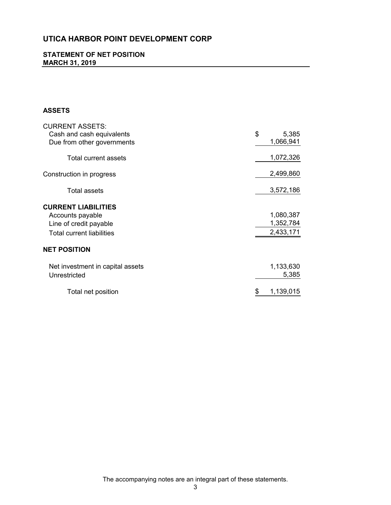## **STATEMENT OF NET POSITION MARCH 31, 2019**

## **ASSETS**

| <b>CURRENT ASSETS:</b>           |             |
|----------------------------------|-------------|
| Cash and cash equivalents        | \$<br>5,385 |
| Due from other governments       | 1,066,941   |
|                                  |             |
| Total current assets             | 1,072,326   |
|                                  |             |
| Construction in progress         | 2,499,860   |
|                                  |             |
| Total assets                     | 3,572,186   |
|                                  |             |
| <b>CURRENT LIABILITIES</b>       |             |
| Accounts payable                 | 1,080,387   |
| Line of credit payable           | 1,352,784   |
| <b>Total current liabilities</b> | 2,433,171   |
|                                  |             |
| <b>NET POSITION</b>              |             |
|                                  |             |
| Net investment in capital assets | 1,133,630   |
|                                  | 5,385       |
| Unrestricted                     |             |
|                                  | 1,139,015   |
| Total net position               |             |

The accompanying notes are an integral part of these statements.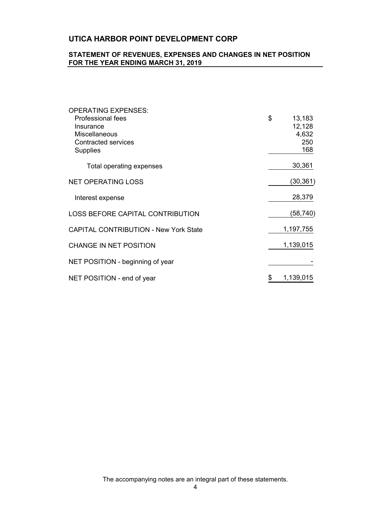## **STATEMENT OF REVENUES, EXPENSES AND CHANGES IN NET POSITION FOR THE YEAR ENDING MARCH 31, 2019**

| <b>OPERATING EXPENSES:</b>                   |                        |
|----------------------------------------------|------------------------|
| Professional fees<br>Insurance               | \$<br>13,183<br>12,128 |
| <b>Miscellaneous</b>                         | 4,632                  |
| Contracted services                          | 250                    |
| <b>Supplies</b>                              | 168                    |
| Total operating expenses                     | 30,361                 |
| <b>NET OPERATING LOSS</b>                    | (30, 361)              |
| Interest expense                             | 28,379                 |
| <b>LOSS BEFORE CAPITAL CONTRIBUTION</b>      | (58,740)               |
| <b>CAPITAL CONTRIBUTION - New York State</b> | 1,197,755              |
| <b>CHANGE IN NET POSITION</b>                | 1,139,015              |
| NET POSITION - beginning of year             |                        |
| NET POSITION - end of year                   | \$<br>1,139,015        |

The accompanying notes are an integral part of these statements.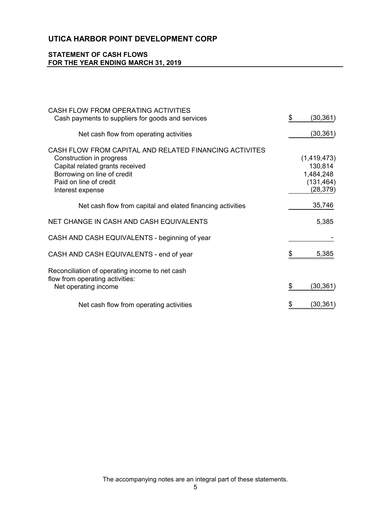## **STATEMENT OF CASH FLOWS FOR THE YEAR ENDING MARCH 31, 2019**

| CASH FLOW FROM OPERATING ACTIVITIES<br>Cash payments to suppliers for goods and services                                                                                                           | \$<br>(30, 361)                                                |
|----------------------------------------------------------------------------------------------------------------------------------------------------------------------------------------------------|----------------------------------------------------------------|
| Net cash flow from operating activities                                                                                                                                                            | (30, 361)                                                      |
| CASH FLOW FROM CAPITAL AND RELATED FINANCING ACTIVITES<br>Construction in progress<br>Capital related grants received<br>Borrowing on line of credit<br>Paid on line of credit<br>Interest expense | (1,419,473)<br>130,814<br>1,484,248<br>(131, 464)<br>(28, 379) |
| Net cash flow from capital and elated financing activities                                                                                                                                         | 35,746                                                         |
| NET CHANGE IN CASH AND CASH EQUIVALENTS                                                                                                                                                            | 5,385                                                          |
| CASH AND CASH EQUIVALENTS - beginning of year                                                                                                                                                      |                                                                |
| CASH AND CASH EQUIVALENTS - end of year                                                                                                                                                            | 5,385                                                          |
| Reconciliation of operating income to net cash<br>flow from operating activities:<br>Net operating income                                                                                          | \$<br>(30, 361)                                                |
| Net cash flow from operating activities                                                                                                                                                            | \$<br>(30, 361)                                                |

The accompanying notes are an integral part of these statements.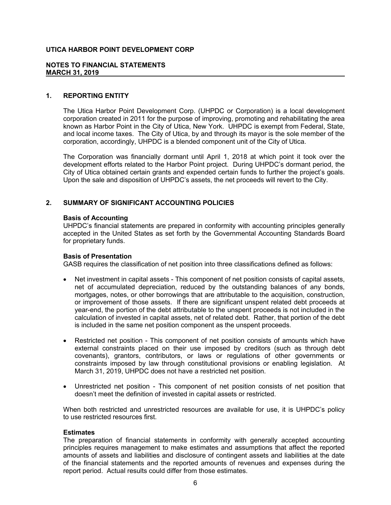#### **NOTES TO FINANCIAL STATEMENTS MARCH 31, 2019**

#### **1. REPORTING ENTITY**

The Utica Harbor Point Development Corp. (UHPDC or Corporation) is a local development corporation created in 2011 for the purpose of improving, promoting and rehabilitating the area known as Harbor Point in the City of Utica, New York. UHPDC is exempt from Federal, State, and local income taxes. The City of Utica, by and through its mayor is the sole member of the corporation, accordingly, UHPDC is a blended component unit of the City of Utica.

The Corporation was financially dormant until April 1, 2018 at which point it took over the development efforts related to the Harbor Point project. During UHPDC's dormant period, the City of Utica obtained certain grants and expended certain funds to further the project's goals. Upon the sale and disposition of UHPDC's assets, the net proceeds will revert to the City.

## **2. SUMMARY OF SIGNIFICANT ACCOUNTING POLICIES**

#### **Basis of Accounting**

UHPDC's financial statements are prepared in conformity with accounting principles generally accepted in the United States as set forth by the Governmental Accounting Standards Board for proprietary funds.

#### **Basis of Presentation**

GASB requires the classification of net position into three classifications defined as follows:

- Net investment in capital assets This component of net position consists of capital assets, net of accumulated depreciation, reduced by the outstanding balances of any bonds, mortgages, notes, or other borrowings that are attributable to the acquisition, construction, or improvement of those assets. If there are significant unspent related debt proceeds at year-end, the portion of the debt attributable to the unspent proceeds is not included in the calculation of invested in capital assets, net of related debt. Rather, that portion of the debt is included in the same net position component as the unspent proceeds.
- Restricted net position This component of net position consists of amounts which have external constraints placed on their use imposed by creditors (such as through debt covenants), grantors, contributors, or laws or regulations of other governments or constraints imposed by law through constitutional provisions or enabling legislation. At March 31, 2019, UHPDC does not have a restricted net position.
- Unrestricted net position This component of net position consists of net position that doesn't meet the definition of invested in capital assets or restricted.

When both restricted and unrestricted resources are available for use, it is UHPDC's policy to use restricted resources first.

#### **Estimates**

The preparation of financial statements in conformity with generally accepted accounting principles requires management to make estimates and assumptions that affect the reported amounts of assets and liabilities and disclosure of contingent assets and liabilities at the date of the financial statements and the reported amounts of revenues and expenses during the report period. Actual results could differ from those estimates.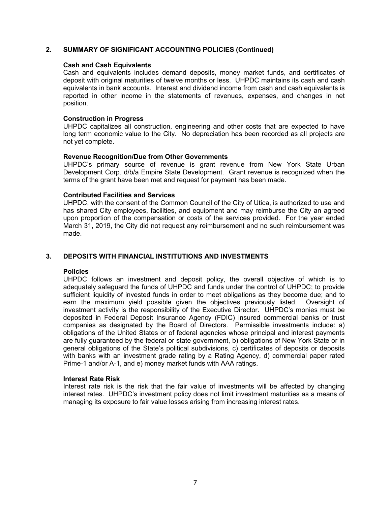## **2. SUMMARY OF SIGNIFICANT ACCOUNTING POLICIES (Continued)**

#### **Cash and Cash Equivalents**

Cash and equivalents includes demand deposits, money market funds, and certificates of deposit with original maturities of twelve months or less. UHPDC maintains its cash and cash equivalents in bank accounts. Interest and dividend income from cash and cash equivalents is reported in other income in the statements of revenues, expenses, and changes in net position.

## **Construction in Progress**

UHPDC capitalizes all construction, engineering and other costs that are expected to have long term economic value to the City. No depreciation has been recorded as all projects are not yet complete.

## **Revenue Recognition/Due from Other Governments**

UHPDC's primary source of revenue is grant revenue from New York State Urban Development Corp. d/b/a Empire State Development. Grant revenue is recognized when the terms of the grant have been met and request for payment has been made.

## **Contributed Facilities and Services**

UHPDC, with the consent of the Common Council of the City of Utica, is authorized to use and has shared City employees, facilities, and equipment and may reimburse the City an agreed upon proportion of the compensation or costs of the services provided. For the year ended March 31, 2019, the City did not request any reimbursement and no such reimbursement was made.

## **3. DEPOSITS WITH FINANCIAL INSTITUTIONS AND INVESTMENTS**

#### **Policies**

UHPDC follows an investment and deposit policy, the overall objective of which is to adequately safeguard the funds of UHPDC and funds under the control of UHPDC; to provide sufficient liquidity of invested funds in order to meet obligations as they become due; and to earn the maximum yield possible given the objectives previously listed. Oversight of investment activity is the responsibility of the Executive Director. UHPDC's monies must be deposited in Federal Deposit Insurance Agency (FDIC) insured commercial banks or trust companies as designated by the Board of Directors. Permissible investments include: a) obligations of the United States or of federal agencies whose principal and interest payments are fully guaranteed by the federal or state government, b) obligations of New York State or in general obligations of the State's political subdivisions, c) certificates of deposits or deposits with banks with an investment grade rating by a Rating Agency, d) commercial paper rated Prime-1 and/or A-1, and e) money market funds with AAA ratings.

#### **Interest Rate Risk**

Interest rate risk is the risk that the fair value of investments will be affected by changing interest rates. UHPDC's investment policy does not limit investment maturities as a means of managing its exposure to fair value losses arising from increasing interest rates.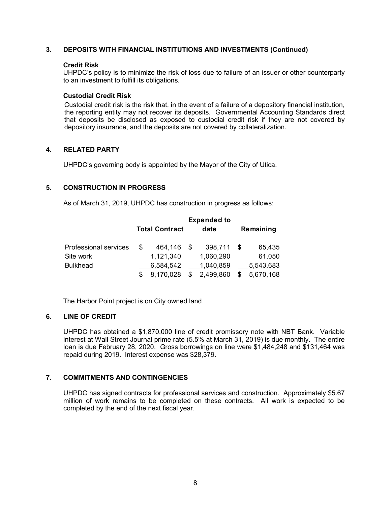## **3. DEPOSITS WITH FINANCIAL INSTITUTIONS AND INVESTMENTS (Continued)**

## **Credit Risk**

UHPDC's policy is to minimize the risk of loss due to failure of an issuer or other counterparty to an investment to fulfill its obligations.

## **Custodial Credit Risk**

Custodial credit risk is the risk that, in the event of a failure of a depository financial institution, the reporting entity may not recover its deposits. Governmental Accounting Standards direct that deposits be disclosed as exposed to custodial credit risk if they are not covered by depository insurance, and the deposits are not covered by collateralization.

## **4. RELATED PARTY**

UHPDC's governing body is appointed by the Mayor of the City of Utica.

## **5. CONSTRUCTION IN PROGRESS**

As of March 31, 2019, UHPDC has construction in progress as follows:

|                       | <b>Expended to</b> |                       |  |           |   |           |
|-----------------------|--------------------|-----------------------|--|-----------|---|-----------|
|                       |                    | <b>Total Contract</b> |  | date      |   | Remaining |
| Professional services | S                  | 464,146               |  | 398,711   | S | 65,435    |
| Site work             |                    | 1,121,340             |  | 1,060,290 |   | 61,050    |
| <b>Bulkhead</b>       |                    | 6,584,542             |  | 1,040,859 |   | 5,543,683 |
|                       |                    | 8,170,028             |  | 2,499,860 | S | 5,670,168 |

The Harbor Point project is on City owned land.

## **6. LINE OF CREDIT**

UHPDC has obtained a \$1,870,000 line of credit promissory note with NBT Bank. Variable interest at Wall Street Journal prime rate (5.5% at March 31, 2019) is due monthly. The entire loan is due February 28, 2020. Gross borrowings on line were \$1,484,248 and \$131,464 was repaid during 2019. Interest expense was \$28,379.

## **7. COMMITMENTS AND CONTINGENCIES**

UHPDC has signed contracts for professional services and construction. Approximately \$5.67 million of work remains to be completed on these contracts. All work is expected to be completed by the end of the next fiscal year.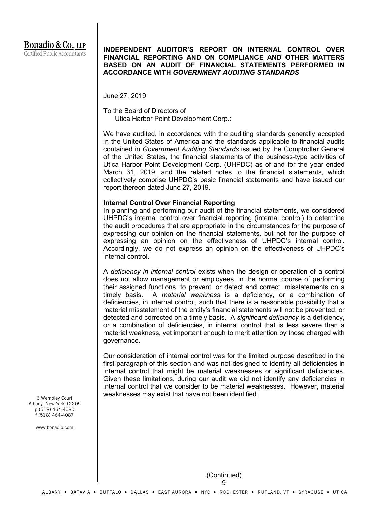## **INDEPENDENT AUDITOR'S REPORT ON INTERNAL CONTROL OVER FINANCIAL REPORTING AND ON COMPLIANCE AND OTHER MATTERS BASED ON AN AUDIT OF FINANCIAL STATEMENTS PERFORMED IN ACCORDANCE WITH** *GOVERNMENT AUDITING STANDARDS*

June 27, 2019

To the Board of Directors of Utica Harbor Point Development Corp.:

We have audited, in accordance with the auditing standards generally accepted in the United States of America and the standards applicable to financial audits contained in *Government Auditing Standards* issued by the Comptroller General of the United States, the financial statements of the business-type activities of Utica Harbor Point Development Corp. (UHPDC) as of and for the year ended March 31, 2019, and the related notes to the financial statements, which collectively comprise UHPDC's basic financial statements and have issued our report thereon dated June 27, 2019.

## **Internal Control Over Financial Reporting**

In planning and performing our audit of the financial statements, we considered UHPDC's internal control over financial reporting (internal control) to determine the audit procedures that are appropriate in the circumstances for the purpose of expressing our opinion on the financial statements, but not for the purpose of expressing an opinion on the effectiveness of UHPDC's internal control. Accordingly, we do not express an opinion on the effectiveness of UHPDC's internal control.

A *deficiency in internal control* exists when the design or operation of a control does not allow management or employees, in the normal course of performing their assigned functions, to prevent, or detect and correct, misstatements on a timely basis. A *material weakness* is a deficiency, or a combination of deficiencies, in internal control, such that there is a reasonable possibility that a material misstatement of the entity's financial statements will not be prevented, or detected and corrected on a timely basis. A *significant deficiency* is a deficiency, or a combination of deficiencies, in internal control that is less severe than a material weakness, yet important enough to merit attention by those charged with governance.

Our consideration of internal control was for the limited purpose described in the first paragraph of this section and was not designed to identify all deficiencies in internal control that might be material weaknesses or significant deficiencies. Given these limitations, during our audit we did not identify any deficiencies in internal control that we consider to be material weaknesses. However, material weaknesses may exist that have not been identified. 6 Wembley Court

> (Continued) 9

Albany, New York 12205 p (518) 464-4080 f (518) 464-4087

www.bonadio.com